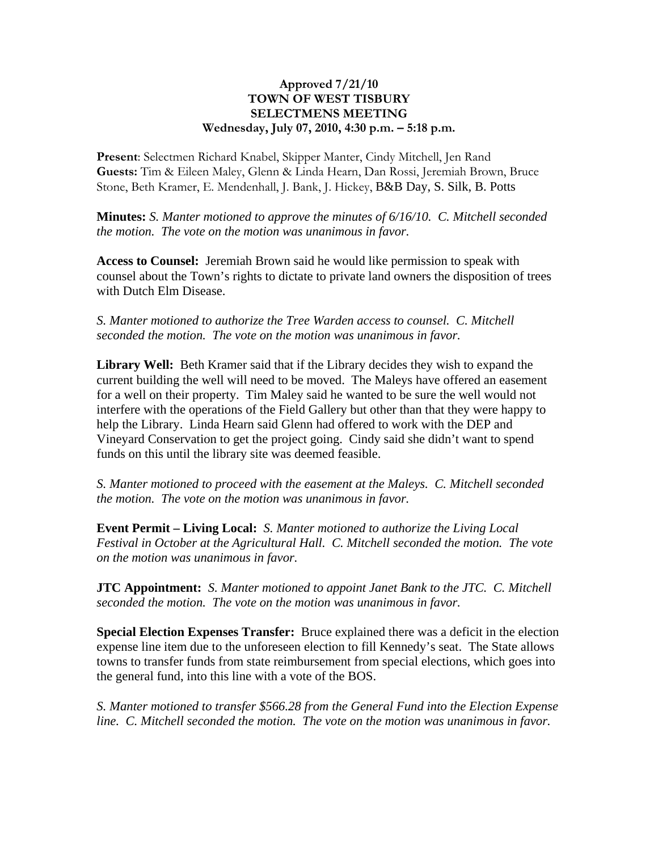## **Approved 7/21/10 TOWN OF WEST TISBURY SELECTMENS MEETING Wednesday, July 07, 2010, 4:30 p.m. – 5:18 p.m.**

**Present**: Selectmen Richard Knabel, Skipper Manter, Cindy Mitchell, Jen Rand **Guests:** Tim & Eileen Maley, Glenn & Linda Hearn, Dan Rossi, Jeremiah Brown, Bruce Stone, Beth Kramer, E. Mendenhall, J. Bank, J. Hickey, B&B Day, S. Silk, B. Potts

**Minutes:** *S. Manter motioned to approve the minutes of 6/16/10. C. Mitchell seconded the motion. The vote on the motion was unanimous in favor.*

**Access to Counsel:** Jeremiah Brown said he would like permission to speak with counsel about the Town's rights to dictate to private land owners the disposition of trees with Dutch Elm Disease.

*S. Manter motioned to authorize the Tree Warden access to counsel. C. Mitchell seconded the motion. The vote on the motion was unanimous in favor.*

**Library Well:** Beth Kramer said that if the Library decides they wish to expand the current building the well will need to be moved. The Maleys have offered an easement for a well on their property. Tim Maley said he wanted to be sure the well would not interfere with the operations of the Field Gallery but other than that they were happy to help the Library. Linda Hearn said Glenn had offered to work with the DEP and Vineyard Conservation to get the project going. Cindy said she didn't want to spend funds on this until the library site was deemed feasible.

*S. Manter motioned to proceed with the easement at the Maleys. C. Mitchell seconded the motion. The vote on the motion was unanimous in favor.*

**Event Permit – Living Local:** *S. Manter motioned to authorize the Living Local Festival in October at the Agricultural Hall. C. Mitchell seconded the motion. The vote on the motion was unanimous in favor.*

**JTC Appointment:** *S. Manter motioned to appoint Janet Bank to the JTC. C. Mitchell seconded the motion. The vote on the motion was unanimous in favor.*

**Special Election Expenses Transfer:** Bruce explained there was a deficit in the election expense line item due to the unforeseen election to fill Kennedy's seat. The State allows towns to transfer funds from state reimbursement from special elections, which goes into the general fund, into this line with a vote of the BOS.

*S. Manter motioned to transfer \$566.28 from the General Fund into the Election Expense line. C. Mitchell seconded the motion. The vote on the motion was unanimous in favor.*